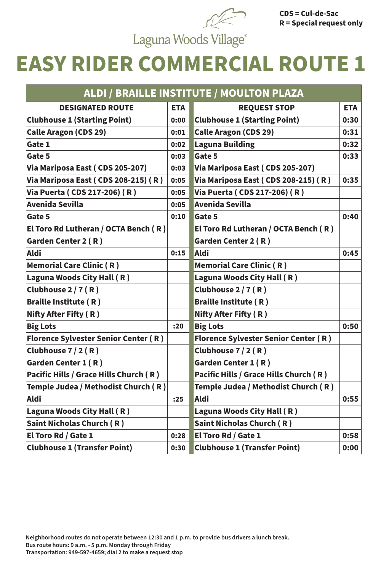## **EASY RIDER COMMERCIAL ROUTE 1**

| ALDI / BRAILLE INSTITUTE / MOULTON PLAZA      |            |                                             |            |
|-----------------------------------------------|------------|---------------------------------------------|------------|
| <b>DESIGNATED ROUTE</b>                       | <b>ETA</b> | <b>REQUEST STOP</b>                         | <b>ETA</b> |
| <b>Clubhouse 1 (Starting Point)</b>           | 0:00       | <b>Clubhouse 1 (Starting Point)</b>         | 0:30       |
| <b>Calle Aragon (CDS 29)</b>                  | 0:01       | <b>Calle Aragon (CDS 29)</b>                | 0:31       |
| Gate 1                                        | 0:02       | <b>Laguna Building</b>                      | 0:32       |
| Gate 5                                        | 0:03       | <b>Gate 5</b>                               | 0:33       |
| Via Mariposa East (CDS 205-207)               | 0:03       | Via Mariposa East (CDS 205-207)             |            |
| Via Mariposa East (CDS 208-215) (R)           | 0:05       | Via Mariposa East (CDS 208-215) (R)         | 0:35       |
| Via Puerta (CDS 217-206) (R)                  | 0:05       | Via Puerta (CDS 217-206) (R)                |            |
| Avenida Sevilla                               | 0:05       | <b>Avenida Sevilla</b>                      |            |
| Gate 5                                        | 0:10       | <b>Gate 5</b>                               | 0:40       |
| <b>El Toro Rd Lutheran / OCTA Bench (R)</b>   |            | El Toro Rd Lutheran / OCTA Bench (R)        |            |
| Garden Center 2 (R)                           |            | <b>Garden Center 2 (R)</b>                  |            |
| <b>Aldi</b>                                   | 0:15       | <b>Aldi</b>                                 | 0:45       |
| Memorial Care Clinic (R)                      |            | <b>Memorial Care Clinic (R)</b>             |            |
| Laguna Woods City Hall (R)                    |            | Laguna Woods City Hall (R)                  |            |
| $ C$ lubhouse 2 / 7 (R)                       |            | Clubhouse 2 / 7 (R)                         |            |
| <b>Braille Institute (R)</b>                  |            | <b>Braille Institute (R)</b>                |            |
| Nifty After Fifty (R)                         |            | Nifty After Fifty (R)                       |            |
| <b>Big Lots</b>                               | :20        | <b>Big Lots</b>                             | 0:50       |
| <b>Florence Sylvester Senior Center (R)</b>   |            | <b>Florence Sylvester Senior Center (R)</b> |            |
| Clubhouse 7 / 2 (R)                           |            | Clubhouse 7 / 2 (R)                         |            |
| <b>Garden Center 1 (R)</b>                    |            | <b>Garden Center 1 (R)</b>                  |            |
| <b>Pacific Hills / Grace Hills Church (R)</b> |            | Pacific Hills / Grace Hills Church (R)      |            |
| Temple Judea / Methodist Church (R)           |            | Temple Judea / Methodist Church (R)         |            |
| Aldi                                          | :25        | <b>Aldi</b>                                 | 0:55       |
| Laguna Woods City Hall (R)                    |            | Laguna Woods City Hall (R)                  |            |
| Saint Nicholas Church (R)                     |            | <b>Saint Nicholas Church (R)</b>            |            |
| <b>El Toro Rd / Gate 1</b>                    | 0:28       | <b>El Toro Rd / Gate 1</b>                  | 0:58       |
| <b>Clubhouse 1 (Transfer Point)</b>           | 0:30       | <b>Clubhouse 1 (Transfer Point)</b>         | 0:00       |

**Neighborhood routes do not operate between 12:30 and 1 p.m. to provide bus drivers a lunch break. Bus route hours: 9 a.m. - 5 p.m. Monday through Friday Transportation: 949-597-4659; dial 2 to make a request stop**



**CDS = Cul-de-Sac R = Special request only**

Laguna Woods Village®